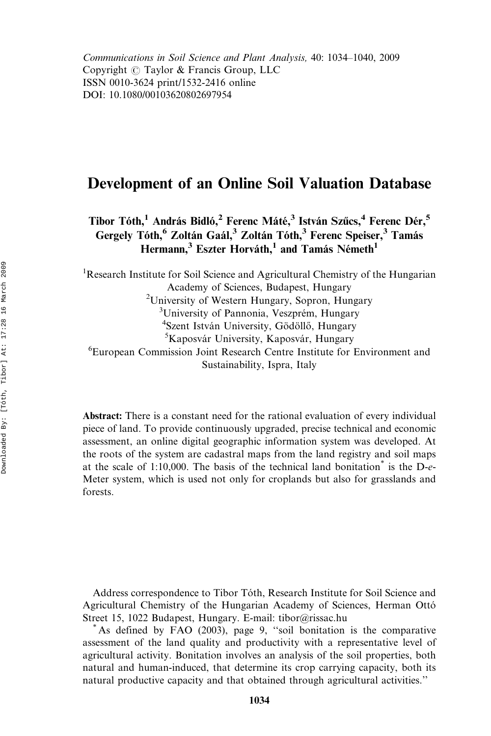Communications in Soil Science and Plant Analysis, 40: 1034–1040, 2009 Copyright  $\circled{c}$  Taylor & Francis Group, LLC ISSN 0010-3624 print/1532-2416 online DOI: 10.1080/00103620802697954

# Development of an Online Soil Valuation Database

Tibor Tóth,<sup>1</sup> András Bidló,<sup>2</sup> Ferenc Máté,<sup>3</sup> István Szűcs,<sup>4</sup> Ferenc Dér,<sup>5</sup> Gergely Tóth,<sup>6</sup> Zoltán Gaál,<sup>3</sup> Zoltán Tóth,<sup>3</sup> Ferenc Speiser,<sup>3</sup> Tamás Hermann,<sup>3</sup> Eszter Horváth,<sup>1</sup> and Tamás Németh<sup>1</sup>

<sup>1</sup>Research Institute for Soil Science and Agricultural Chemistry of the Hungarian Academy of Sciences, Budapest, Hungary <sup>2</sup>University of Western Hungary, Sopron, Hungary <sup>3</sup>University of Pannonia, Veszprém, Hungary <sup>4</sup>Szent István University, Gödöllő, Hungary <sup>5</sup>Kaposvár University, Kaposvár, Hungary 6 European Commission Joint Research Centre Institute for Environment and Sustainability, Ispra, Italy

Abstract: There is a constant need for the rational evaluation of every individual piece of land. To provide continuously upgraded, precise technical and economic assessment, an online digital geographic information system was developed. At the roots of the system are cadastral maps from the land registry and soil maps at the scale of 1:10,000. The basis of the technical land bonitation<sup>\*</sup> is the D- $e$ -Meter system, which is used not only for croplands but also for grasslands and forests.

Address correspondence to Tibor Tóth, Research Institute for Soil Science and Agricultural Chemistry of the Hungarian Academy of Sciences, Herman Otto´ Street 15, 1022 Budapest, Hungary. E-mail: tibor@rissac.hu \* As defined by FAO (2003), page 9, ''soil bonitation is the comparative

assessment of the land quality and productivity with a representative level of agricultural activity. Bonitation involves an analysis of the soil properties, both natural and human-induced, that determine its crop carrying capacity, both its natural productive capacity and that obtained through agricultural activities.''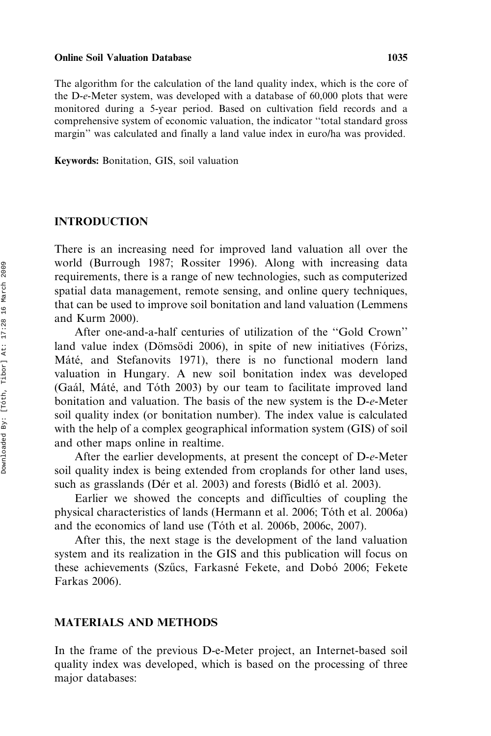#### Online Soil Valuation Database 1035

The algorithm for the calculation of the land quality index, which is the core of the D-e-Meter system, was developed with a database of 60,000 plots that were monitored during a 5-year period. Based on cultivation field records and a comprehensive system of economic valuation, the indicator ''total standard gross margin'' was calculated and finally a land value index in euro/ha was provided.

Keywords: Bonitation, GIS, soil valuation

# INTRODUCTION

There is an increasing need for improved land valuation all over the world (Burrough 1987; Rossiter 1996). Along with increasing data requirements, there is a range of new technologies, such as computerized spatial data management, remote sensing, and online query techniques, that can be used to improve soil bonitation and land valuation (Lemmens and Kurm 2000).

After one-and-a-half centuries of utilization of the ''Gold Crown'' land value index (Dömsödi 2006), in spite of new initiatives (Fórizs, Máté, and Stefanovits 1971), there is no functional modern land valuation in Hungary. A new soil bonitation index was developed (Gaál, Máté, and Tóth 2003) by our team to facilitate improved land bonitation and valuation. The basis of the new system is the D-e-Meter soil quality index (or bonitation number). The index value is calculated with the help of a complex geographical information system (GIS) of soil and other maps online in realtime.

After the earlier developments, at present the concept of D-e-Meter soil quality index is being extended from croplands for other land uses, such as grasslands (Dér et al. 2003) and forests (Bidló et al. 2003).

Earlier we showed the concepts and difficulties of coupling the physical characteristics of lands (Hermann et al. 2006; Tóth et al. 2006a) and the economics of land use (Tóth et al. 2006b, 2006c, 2007).

After this, the next stage is the development of the land valuation system and its realization in the GIS and this publication will focus on these achievements (Szűcs, Farkasné Fekete, and Dobó 2006; Fekete Farkas 2006).

### MATERIALS AND METHODS

In the frame of the previous D-e-Meter project, an Internet-based soil quality index was developed, which is based on the processing of three major databases: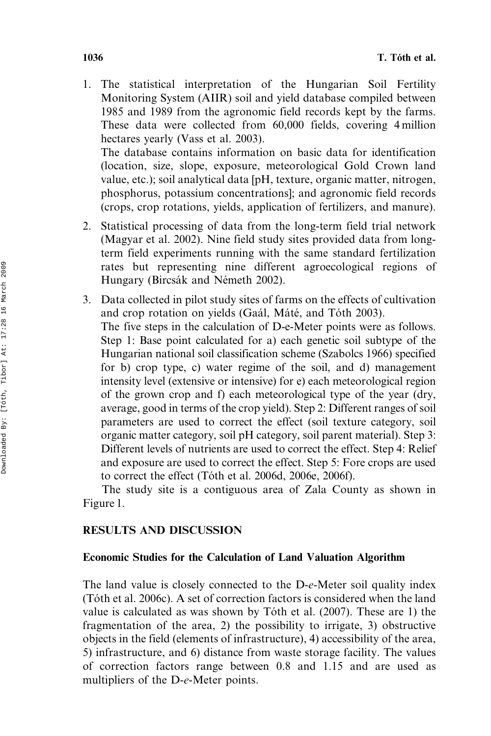1. The statistical interpretation of the Hungarian Soil Fertility Monitoring System (AIIR) soil and yield database compiled between 1985 and 1989 from the agronomic field records kept by the farms. These data were collected from 60,000 fields, covering 4 million hectares yearly (Vass et al. 2003). The database contains information on basic data for identification

(location, size, slope, exposure, meteorological Gold Crown land value, etc.); soil analytical data [pH, texture, organic matter, nitrogen, phosphorus, potassium concentrations]; and agronomic field records (crops, crop rotations, yields, application of fertilizers, and manure).

- 2. Statistical processing of data from the long-term field trial network (Magyar et al. 2002). Nine field study sites provided data from longterm field experiments running with the same standard fertilization rates but representing nine different agroecological regions of Hungary (Bircsák and Németh 2002).
- 3. Data collected in pilot study sites of farms on the effects of cultivation and crop rotation on yields (Gaál, Máté, and Tóth 2003). The five steps in the calculation of D-e-Meter points were as follows. Step 1: Base point calculated for a) each genetic soil subtype of the Hungarian national soil classification scheme (Szabolcs 1966) specified for b) crop type, c) water regime of the soil, and d) management intensity level (extensive or intensive) for e) each meteorological region of the grown crop and f) each meteorological type of the year (dry, average, good in terms of the crop yield). Step 2: Different ranges of soil parameters are used to correct the effect (soil texture category, soil organic matter category, soil pH category, soil parent material). Step 3: Different levels of nutrients are used to correct the effect. Step 4: Relief and exposure are used to correct the effect. Step 5: Fore crops are used to correct the effect (Tóth et al. 2006d, 2006e, 2006f).

The study site is a contiguous area of Zala County as shown in Figure 1.

# RESULTS AND DISCUSSION

# Economic Studies for the Calculation of Land Valuation Algorithm

The land value is closely connected to the D-e-Meter soil quality index (To´th et al. 2006c). A set of correction factors is considered when the land value is calculated as was shown by Tóth et al.  $(2007)$ . These are 1) the fragmentation of the area, 2) the possibility to irrigate, 3) obstructive objects in the field (elements of infrastructure), 4) accessibility of the area, 5) infrastructure, and 6) distance from waste storage facility. The values of correction factors range between 0.8 and 1.15 and are used as multipliers of the D-e-Meter points.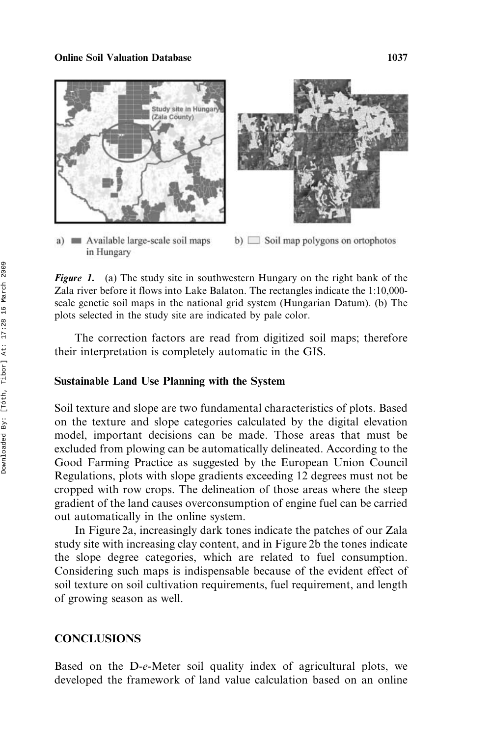#### **Online Soil Valuation Database 1037** 1037



a) Nevallable large-scale soil maps in Hungary



**Figure 1.** (a) The study site in southwestern Hungary on the right bank of the Zala river before it flows into Lake Balaton. The rectangles indicate the 1:10,000 scale genetic soil maps in the national grid system (Hungarian Datum). (b) The plots selected in the study site are indicated by pale color.

The correction factors are read from digitized soil maps; therefore their interpretation is completely automatic in the GIS.

### Sustainable Land Use Planning with the System

Soil texture and slope are two fundamental characteristics of plots. Based on the texture and slope categories calculated by the digital elevation model, important decisions can be made. Those areas that must be excluded from plowing can be automatically delineated. According to the Good Farming Practice as suggested by the European Union Council Regulations, plots with slope gradients exceeding 12 degrees must not be cropped with row crops. The delineation of those areas where the steep gradient of the land causes overconsumption of engine fuel can be carried out automatically in the online system.

In Figure 2a, increasingly dark tones indicate the patches of our Zala study site with increasing clay content, and in Figure 2b the tones indicate the slope degree categories, which are related to fuel consumption. Considering such maps is indispensable because of the evident effect of soil texture on soil cultivation requirements, fuel requirement, and length of growing season as well.

# **CONCLUSIONS**

Based on the D-e-Meter soil quality index of agricultural plots, we developed the framework of land value calculation based on an online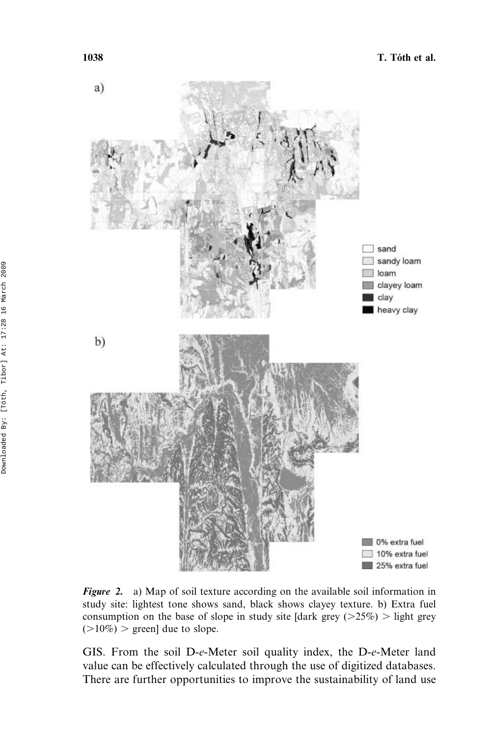

Figure 2. a) Map of soil texture according on the available soil information in study site: lightest tone shows sand, black shows clayey texture. b) Extra fuel consumption on the base of slope in study site [dark grey  $(>25\%)$  > light grey  $(>10\%)$  > green] due to slope.

GIS. From the soil D-e-Meter soil quality index, the D-e-Meter land value can be effectively calculated through the use of digitized databases. There are further opportunities to improve the sustainability of land use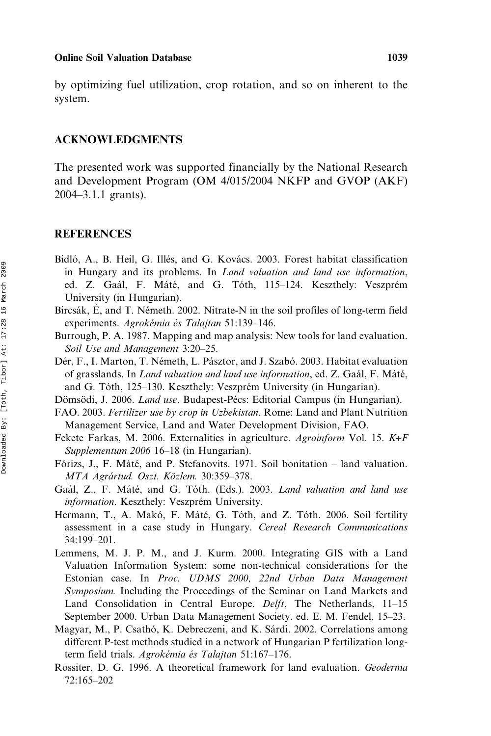#### Online Soil Valuation Database 1039

by optimizing fuel utilization, crop rotation, and so on inherent to the system.

### ACKNOWLEDGMENTS

The presented work was supported financially by the National Research and Development Program (OM 4/015/2004 NKFP and GVOP (AKF) 2004–3.1.1 grants).

# **REFERENCES**

- Bidló, A., B. Heil, G. Illés, and G. Kovács. 2003. Forest habitat classification in Hungary and its problems. In Land valuation and land use information, ed. Z. Gaál, F. Máté, and G. Tóth, 115–124. Keszthely: Veszprém University (in Hungarian).
- Bircsák, É, and T. Németh. 2002. Nitrate-N in the soil profiles of long-term field experiments. Agrokémia és Talajtan 51:139–146.
- Burrough, P. A. 1987. Mapping and map analysis: New tools for land evaluation. Soil Use and Management 3:20–25.
- Dér, F., I. Marton, T. Németh, L. Pásztor, and J. Szabó. 2003. Habitat evaluation of grasslands. In *Land valuation and land use information*, ed. Z. Gaál, F. Máté, and G. Tóth, 125–130. Keszthely: Veszprém University (in Hungarian).
- Dömsödi, J. 2006. Land use. Budapest-Pécs: Editorial Campus (in Hungarian).
- FAO. 2003. Fertilizer use by crop in Uzbekistan. Rome: Land and Plant Nutrition Management Service, Land and Water Development Division, FAO.
- Fekete Farkas, M. 2006. Externalities in agriculture. Agroinform Vol. 15. K*+*F Supplementum 2006 16–18 (in Hungarian).
- Fórizs, J., F. Máté, and P. Stefanovits. 1971. Soil bonitation land valuation. MTA Agrártud. Oszt. Közlem. 30:359-378.
- Gaál, Z., F. Máté, and G. Tóth. (Eds.). 2003. Land valuation and land use information. Keszthely: Veszprém University.
- Hermann, T., A. Makó, F. Máté, G. Tóth, and Z. Tóth. 2006. Soil fertility assessment in a case study in Hungary. Cereal Research Communications 34:199–201.
- Lemmens, M. J. P. M., and J. Kurm. 2000. Integrating GIS with a Land Valuation Information System: some non-technical considerations for the Estonian case. In Proc. UDMS 2000, 22nd Urban Data Management Symposium. Including the Proceedings of the Seminar on Land Markets and Land Consolidation in Central Europe. *Delft*, The Netherlands, 11–15 September 2000. Urban Data Management Society. ed. E. M. Fendel, 15–23.
- Magyar, M., P. Csathó, K. Debreczeni, and K. Sárdi. 2002. Correlations among different P-test methods studied in a network of Hungarian P fertilization longterm field trials. Agrokémia és Talajtan 51:167–176.
- Rossiter, D. G. 1996. A theoretical framework for land evaluation. Geoderma 72:165–202